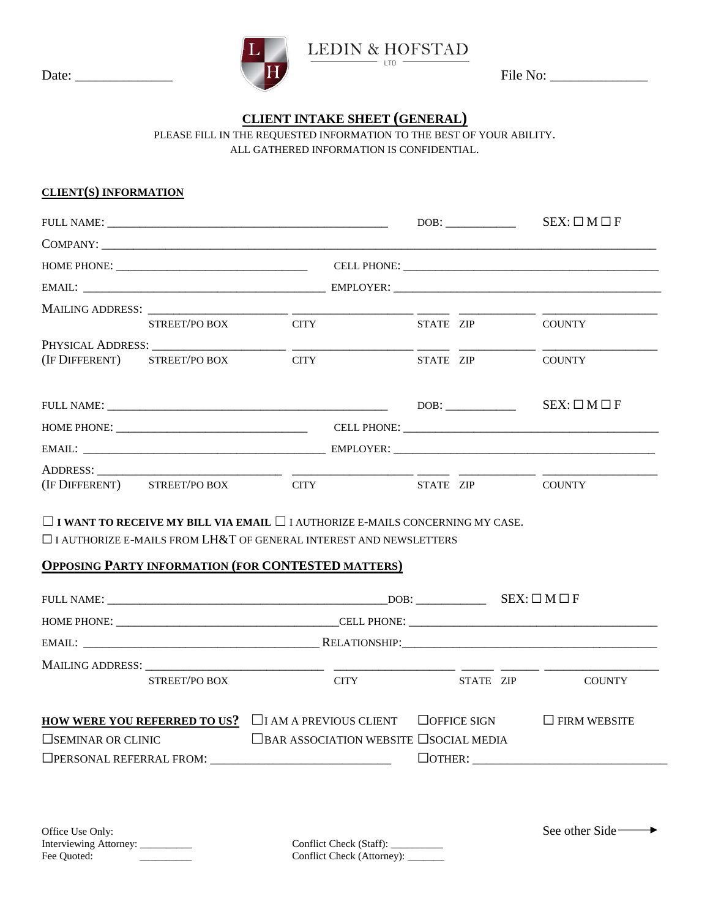

## **CLIENT INTAKE SHEET (GENERAL)**

PLEASE FILL IN THE REQUESTED INFORMATION TO THE BEST OF YOUR ABILITY. ALL GATHERED INFORMATION IS CONFIDENTIAL.

## **CLIENT(S) INFORMATION**

|                                   |                                                                                             |                                                                        | $SEX: \Box M \Box F$                                                                                                                                                                                                                                                                                                                                                                                                              |  |  |
|-----------------------------------|---------------------------------------------------------------------------------------------|------------------------------------------------------------------------|-----------------------------------------------------------------------------------------------------------------------------------------------------------------------------------------------------------------------------------------------------------------------------------------------------------------------------------------------------------------------------------------------------------------------------------|--|--|
|                                   |                                                                                             |                                                                        |                                                                                                                                                                                                                                                                                                                                                                                                                                   |  |  |
|                                   |                                                                                             |                                                                        |                                                                                                                                                                                                                                                                                                                                                                                                                                   |  |  |
|                                   |                                                                                             |                                                                        |                                                                                                                                                                                                                                                                                                                                                                                                                                   |  |  |
|                                   |                                                                                             |                                                                        |                                                                                                                                                                                                                                                                                                                                                                                                                                   |  |  |
|                                   |                                                                                             | STATE ZIP                                                              | COUNTY                                                                                                                                                                                                                                                                                                                                                                                                                            |  |  |
|                                   |                                                                                             |                                                                        |                                                                                                                                                                                                                                                                                                                                                                                                                                   |  |  |
|                                   |                                                                                             |                                                                        | COUNTY                                                                                                                                                                                                                                                                                                                                                                                                                            |  |  |
|                                   |                                                                                             |                                                                        | $SEX: \Box M \Box F$                                                                                                                                                                                                                                                                                                                                                                                                              |  |  |
|                                   |                                                                                             |                                                                        |                                                                                                                                                                                                                                                                                                                                                                                                                                   |  |  |
|                                   |                                                                                             |                                                                        |                                                                                                                                                                                                                                                                                                                                                                                                                                   |  |  |
|                                   |                                                                                             |                                                                        |                                                                                                                                                                                                                                                                                                                                                                                                                                   |  |  |
|                                   |                                                                                             |                                                                        |                                                                                                                                                                                                                                                                                                                                                                                                                                   |  |  |
|                                   |                                                                                             |                                                                        |                                                                                                                                                                                                                                                                                                                                                                                                                                   |  |  |
|                                   |                                                                                             |                                                                        |                                                                                                                                                                                                                                                                                                                                                                                                                                   |  |  |
|                                   |                                                                                             |                                                                        |                                                                                                                                                                                                                                                                                                                                                                                                                                   |  |  |
|                                   |                                                                                             |                                                                        |                                                                                                                                                                                                                                                                                                                                                                                                                                   |  |  |
| STREET/PO BOX                     | <b>CITY</b>                                                                                 |                                                                        | <b>COUNTY</b>                                                                                                                                                                                                                                                                                                                                                                                                                     |  |  |
|                                   |                                                                                             |                                                                        | $\Box$ FIRM WEBSITE                                                                                                                                                                                                                                                                                                                                                                                                               |  |  |
|                                   |                                                                                             |                                                                        |                                                                                                                                                                                                                                                                                                                                                                                                                                   |  |  |
|                                   |                                                                                             |                                                                        |                                                                                                                                                                                                                                                                                                                                                                                                                                   |  |  |
|                                   |                                                                                             |                                                                        |                                                                                                                                                                                                                                                                                                                                                                                                                                   |  |  |
|                                   |                                                                                             |                                                                        |                                                                                                                                                                                                                                                                                                                                                                                                                                   |  |  |
| Interviewing Attorney: __________ | Conflict Check (Staff): __________                                                          |                                                                        | See other Side —                                                                                                                                                                                                                                                                                                                                                                                                                  |  |  |
|                                   | (IF DIFFERENT) STREET/PO BOX<br>MAILING ADDRESS: ___________<br>$\square$ SEMINAR OR CLINIC | STREET/PO BOX CITY<br><b>CITY</b><br>(IF DIFFERENT) STREET/PO BOX CITY | DOB:<br>STATE ZIP<br>STATE ZIP COUNTY<br>$\Box$ I WANT TO RECEIVE MY BILL VIA EMAIL $\Box$ I AUTHORIZE E-MAILS CONCERNING MY CASE.<br>$\Box$ I AUTHORIZE E-MAILS FROM LH&T OF GENERAL INTEREST AND NEWSLETTERS<br><b>OPPOSING PARTY INFORMATION (FOR CONTESTED MATTERS)</b><br>STATE ZIP<br><b>HOW WERE YOU REFERRED TO US?</b> $\Box$ I AM A PREVIOUS CLIENT $\Box$ OFFICE SIGN<br><b>EBAR ASSOCIATION WEBSITE ESOCIAL MEDIA</b> |  |  |